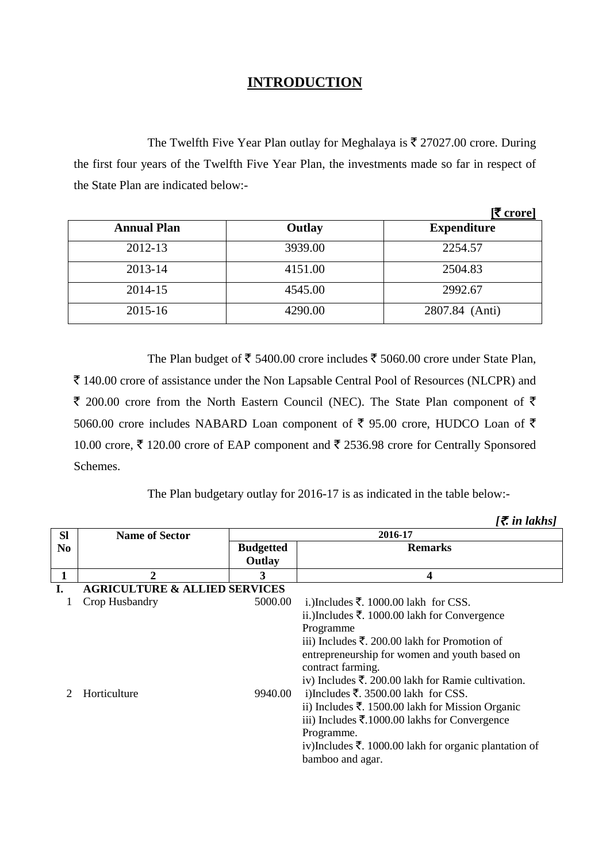## **INTRODUCTION**

The Twelfth Five Year Plan outlay for Meghalaya is  $\bar{\tau}$  27027.00 crore. During the first four years of the Twelfth Five Year Plan, the investments made so far in respect of the State Plan are indicated below:-

|                    |         | ₹ crore]           |
|--------------------|---------|--------------------|
| <b>Annual Plan</b> | Outlay  | <b>Expenditure</b> |
| 2012-13            | 3939.00 | 2254.57            |
| 2013-14            | 4151.00 | 2504.83            |
| 2014-15            | 4545.00 | 2992.67            |
| 2015-16            | 4290.00 | 2807.84 (Anti)     |

The Plan budget of  $\bar{\tau}$  5400.00 crore includes  $\bar{\tau}$  5060.00 crore under State Plan, ` 140.00 crore of assistance under the Non Lapsable Central Pool of Resources (NLCPR) and  $\bar{\tau}$  200.00 crore from the North Eastern Council (NEC). The State Plan component of  $\bar{\tau}$ 5060.00 crore includes NABARD Loan component of  $\bar{\tau}$  95.00 crore, HUDCO Loan of  $\bar{\tau}$ 10.00 crore,  $\bar{\xi}$  120.00 crore of EAP component and  $\bar{\xi}$  2536.98 crore for Centrally Sponsored Schemes.

The Plan budgetary outlay for 2016-17 is as indicated in the table below:-

| <b>Sl</b>      | <b>Name of Sector</b>                    | 2016-17                    |                                                                                                                                                                                                                                                                                                                                                                                                                                                                                                                                                                 |
|----------------|------------------------------------------|----------------------------|-----------------------------------------------------------------------------------------------------------------------------------------------------------------------------------------------------------------------------------------------------------------------------------------------------------------------------------------------------------------------------------------------------------------------------------------------------------------------------------------------------------------------------------------------------------------|
| N <sub>0</sub> |                                          | <b>Budgetted</b><br>Outlay | <b>Remarks</b>                                                                                                                                                                                                                                                                                                                                                                                                                                                                                                                                                  |
|                | 2                                        | 3                          | 4                                                                                                                                                                                                                                                                                                                                                                                                                                                                                                                                                               |
|                | <b>AGRICULTURE &amp; ALLIED SERVICES</b> |                            |                                                                                                                                                                                                                                                                                                                                                                                                                                                                                                                                                                 |
|                | Crop Husbandry                           | 5000.00                    | i.)Includes ₹. 1000.00 lakh for CSS.                                                                                                                                                                                                                                                                                                                                                                                                                                                                                                                            |
|                | Horticulture                             | 9940.00                    | ii.)Includes $\bar{\xi}$ . 1000.00 lakh for Convergence<br>Programme<br>iii) Includes $\bar{\tau}$ . 200.00 lakh for Promotion of<br>entrepreneurship for women and youth based on<br>contract farming.<br>iv) Includes $\bar{\mathbf{\tau}}$ . 200.00 lakh for Ramie cultivation.<br>i)Includes ₹. 3500.00 lakh for CSS.<br>ii) Includes $\bar{\xi}$ . 1500.00 lakh for Mission Organic<br>iii) Includes $\bar{\mathbf{\mathsf{z}}}$ .1000.00 lakhs for Convergence<br>Programme.<br>iv)Includes ₹. 1000.00 lakh for organic plantation of<br>bamboo and agar. |

 $\bar{z}$  *in lakhs]*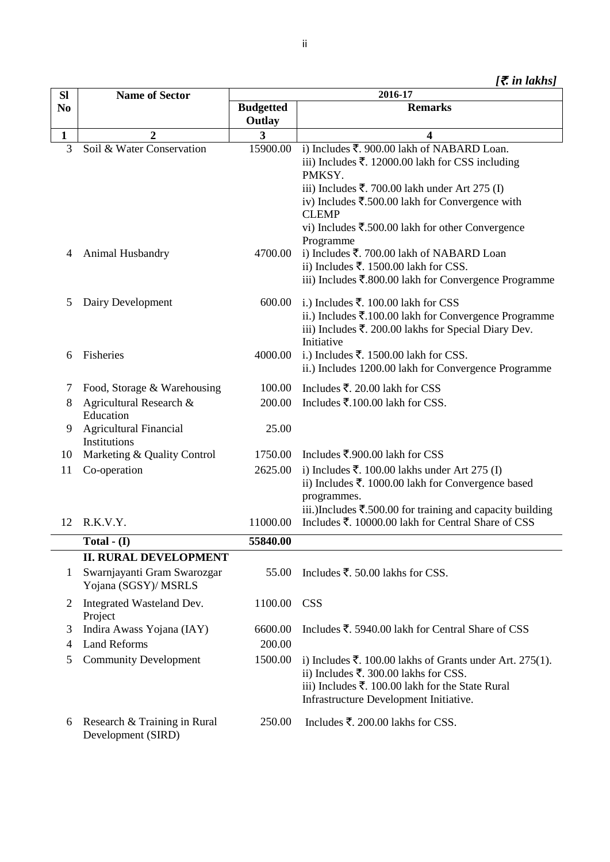| <b>SI</b>         | <b>Name of Sector</b>                               | 2016-17          |                                                                                          |
|-------------------|-----------------------------------------------------|------------------|------------------------------------------------------------------------------------------|
| N <sub>0</sub>    |                                                     | <b>Budgetted</b> | <b>Remarks</b>                                                                           |
|                   |                                                     | Outlay           |                                                                                          |
| $\mathbf{1}$<br>3 | 2<br>Soil & Water Conservation                      | 3<br>15900.00    | 4<br>i) Includes ₹. 900.00 lakh of NABARD Loan.                                          |
|                   |                                                     |                  | iii) Includes $\overline{\xi}$ . 12000.00 lakh for CSS including                         |
|                   |                                                     |                  | PMKSY.                                                                                   |
|                   |                                                     |                  | iii) Includes ₹. 700.00 lakh under Art 275 (I)                                           |
|                   |                                                     |                  | iv) Includes $\overline{\mathfrak{F}}$ .500.00 lakh for Convergence with<br><b>CLEMP</b> |
|                   |                                                     |                  | vi) Includes ₹.500.00 lakh for other Convergence                                         |
|                   |                                                     |                  | Programme                                                                                |
| 4                 | Animal Husbandry                                    | 4700.00          | i) Includes ₹. 700.00 lakh of NABARD Loan                                                |
|                   |                                                     |                  | ii) Includes ₹. 1500.00 lakh for CSS.                                                    |
|                   |                                                     |                  | iii) Includes $\overline{\mathbf{z}}$ .800.00 lakh for Convergence Programme             |
| 5                 | Dairy Development                                   | 600.00           | i.) Includes ₹. 100.00 lakh for CSS                                                      |
|                   |                                                     |                  | ii.) Includes $\bar{\mathbf{z}}$ .100.00 lakh for Convergence Programme                  |
|                   |                                                     |                  | iii) Includes $\overline{\xi}$ . 200.00 lakhs for Special Diary Dev.                     |
|                   |                                                     |                  | Initiative                                                                               |
| 6                 | Fisheries                                           | 4000.00          | i.) Includes $\overline{\xi}$ . 1500.00 lakh for CSS.                                    |
|                   |                                                     |                  | ii.) Includes 1200.00 lakh for Convergence Programme                                     |
| 7                 | Food, Storage & Warehousing                         | 100.00           | Includes ₹. 20.00 lakh for CSS                                                           |
| 8                 | Agricultural Research &                             | 200.00           | Includes $\overline{\mathbf{z}}$ .100.00 lakh for CSS.                                   |
|                   | Education                                           |                  |                                                                                          |
| 9                 | <b>Agricultural Financial</b><br>Institutions       | 25.00            |                                                                                          |
| 10                | Marketing & Quality Control                         | 1750.00          | Includes ₹.900.00 lakh for CSS                                                           |
| 11                | Co-operation                                        | 2625.00          | i) Includes ₹. 100.00 lakhs under Art 275 (I)                                            |
|                   |                                                     |                  | ii) Includes ₹. 1000.00 lakh for Convergence based                                       |
|                   |                                                     |                  | programmes.                                                                              |
|                   |                                                     |                  | iii.) Includes $\bar{\mathbf{\xi}}$ .500.00 for training and capacity building           |
| 12                | R.K.V.Y.                                            | 11000.00         | Includes ₹. 10000.00 lakh for Central Share of CSS                                       |
|                   | Total - $(I)$                                       | 55840.00         |                                                                                          |
|                   | <b>II. RURAL DEVELOPMENT</b>                        |                  |                                                                                          |
| 1                 | Swarnjayanti Gram Swarozgar<br>Yojana (SGSY)/ MSRLS | 55.00            | Includes ₹. 50.00 lakhs for CSS.                                                         |
| 2                 | Integrated Wasteland Dev.                           | 1100.00          | <b>CSS</b>                                                                               |
| 3                 | Project<br>Indira Awass Yojana (IAY)                | 6600.00          | Includes ₹. 5940.00 lakh for Central Share of CSS                                        |
| 4                 | <b>Land Reforms</b>                                 | 200.00           |                                                                                          |
| 5                 | <b>Community Development</b>                        | 1500.00          | i) Includes ₹. 100.00 lakhs of Grants under Art. 275(1).                                 |
|                   |                                                     |                  | ii) Includes ₹. 300.00 lakhs for CSS.                                                    |
|                   |                                                     |                  | iii) Includes $\overline{\xi}$ . 100.00 lakh for the State Rural                         |
|                   |                                                     |                  | Infrastructure Development Initiative.                                                   |
|                   |                                                     |                  |                                                                                          |
| 6                 | Research & Training in Rural<br>Development (SIRD)  | 250.00           | Includes $\overline{\xi}$ . 200.00 lakhs for CSS.                                        |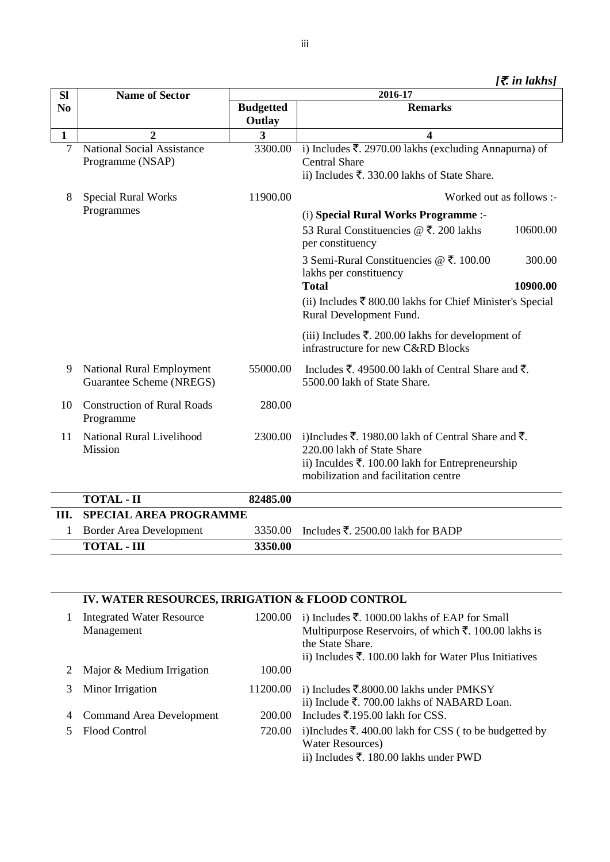| <b>SI</b>      | <b>Name of Sector</b>                                 | 2016-17          |                                                                                                                                                                                          |  |
|----------------|-------------------------------------------------------|------------------|------------------------------------------------------------------------------------------------------------------------------------------------------------------------------------------|--|
| N <sub>0</sub> |                                                       | <b>Budgetted</b> | <b>Remarks</b>                                                                                                                                                                           |  |
|                |                                                       | Outlay           |                                                                                                                                                                                          |  |
| $\mathbf{1}$   | $\overline{2}$                                        | 3                | $\overline{\mathbf{4}}$                                                                                                                                                                  |  |
| $\overline{7}$ | National Social Assistance<br>Programme (NSAP)        | 3300.00          | i) Includes ₹. 2970.00 lakhs (excluding Annapurna) of<br><b>Central Share</b><br>ii) Includes ₹. 330.00 lakhs of State Share.                                                            |  |
| 8              | <b>Special Rural Works</b>                            | 11900.00         | Worked out as follows :-                                                                                                                                                                 |  |
|                | Programmes                                            |                  | (i) Special Rural Works Programme :-                                                                                                                                                     |  |
|                |                                                       |                  | 53 Rural Constituencies $@ \t3$ . 200 lakhs<br>10600.00<br>per constituency                                                                                                              |  |
|                |                                                       |                  | 3 Semi-Rural Constituencies @ ₹. 100.00<br>300.00<br>lakhs per constituency                                                                                                              |  |
|                |                                                       |                  | <b>Total</b><br>10900.00                                                                                                                                                                 |  |
|                |                                                       |                  | (ii) Includes $\bar{\xi}$ 800.00 lakhs for Chief Minister's Special<br>Rural Development Fund.                                                                                           |  |
|                |                                                       |                  | (iii) Includes ₹. 200.00 lakhs for development of<br>infrastructure for new C&RD Blocks                                                                                                  |  |
| 9              | National Rural Employment<br>Guarantee Scheme (NREGS) | 55000.00         | Includes ₹. 49500.00 lakh of Central Share and ₹.<br>5500.00 lakh of State Share.                                                                                                        |  |
| 10             | <b>Construction of Rural Roads</b><br>Programme       | 280.00           |                                                                                                                                                                                          |  |
| 11             | <b>National Rural Livelihood</b><br>Mission           | 2300.00          | i)Includes ₹. 1980.00 lakh of Central Share and ₹.<br>220.00 lakh of State Share<br>ii) Inculdes $\bar{\tau}$ . 100.00 lakh for Entrepreneurship<br>mobilization and facilitation centre |  |
|                | <b>TOTAL - II</b>                                     | 82485.00         |                                                                                                                                                                                          |  |
| III.           | <b>SPECIAL AREA PROGRAMME</b>                         |                  |                                                                                                                                                                                          |  |
|                | Border Area Development                               | 3350.00          | Includes $\bar{\tau}$ , 2500.00 lakh for BADP                                                                                                                                            |  |

| 3350.00<br>TOTAL - III |  |
|------------------------|--|

## **IV. WATER RESOURCES, IRRIGATION & FLOOD CONTROL**

|   | <b>Integrated Water Resource</b><br>Management | 1200.00  | i) Includes $\bar{\mathbf{z}}$ . 1000.00 lakhs of EAP for Small<br>Multipurpose Reservoirs, of which ₹. 100.00 lakhs is<br>the State Share.<br>ii) Includes $\bar{\xi}$ . 100.00 lakh for Water Plus Initiatives |
|---|------------------------------------------------|----------|------------------------------------------------------------------------------------------------------------------------------------------------------------------------------------------------------------------|
|   | Major & Medium Irrigation                      | 100.00   |                                                                                                                                                                                                                  |
| 3 | Minor Irrigation                               | 11200.00 | i) Includes ₹.8000.00 lakhs under PMKSY<br>ii) Include $\overline{\xi}$ . 700.00 lakhs of NABARD Loan.                                                                                                           |
|   | Command Area Development                       | 200.00   | Includes $\overline{\xi}$ .195.00 lakh for CSS.                                                                                                                                                                  |
|   | Flood Control                                  | 720.00   | i)Includes $\bar{\xi}$ . 400.00 lakh for CSS (to be budgetted by<br><b>Water Resources</b> )<br>ii) Includes ₹. 180.00 lakhs under PWD                                                                           |

iii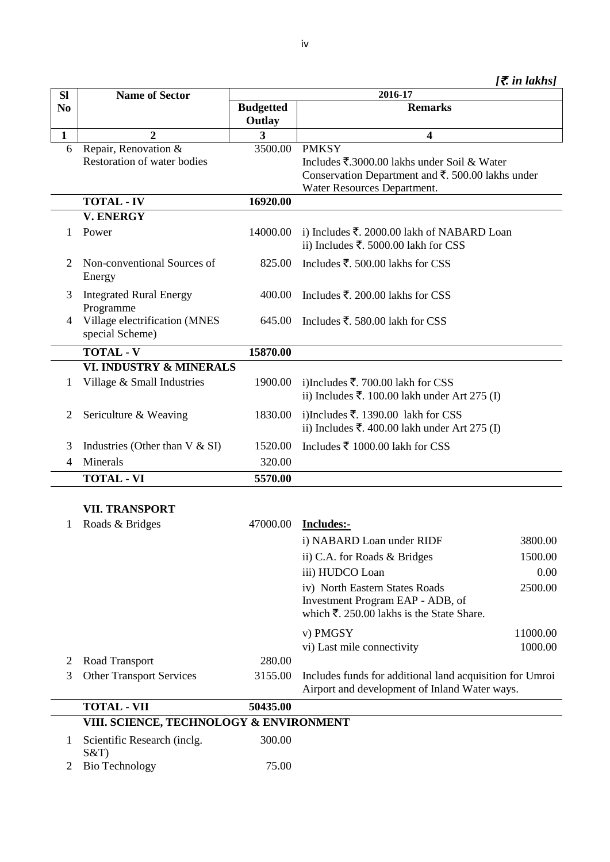|  | [₹ in lakhs] |
|--|--------------|
|  |              |
|  |              |

| <b>Sl</b>      | <b>Name of Sector</b>                            | 2016-17                    |                                                                                                           |          |
|----------------|--------------------------------------------------|----------------------------|-----------------------------------------------------------------------------------------------------------|----------|
| N <sub>0</sub> |                                                  | <b>Budgetted</b><br>Outlay | <b>Remarks</b>                                                                                            |          |
| 1              | $\boldsymbol{2}$                                 | 3                          | 4                                                                                                         |          |
| 6              | Repair, Renovation &                             | 3500.00                    | <b>PMKSY</b>                                                                                              |          |
|                | Restoration of water bodies                      |                            | Includes ₹.3000.00 lakhs under Soil & Water                                                               |          |
|                |                                                  |                            | Conservation Department and $\overline{\xi}$ . 500.00 lakhs under                                         |          |
|                |                                                  |                            | Water Resources Department.                                                                               |          |
|                | <b>TOTAL - IV</b>                                | 16920.00                   |                                                                                                           |          |
|                | <b>V. ENERGY</b>                                 |                            |                                                                                                           |          |
| 1              | Power                                            | 14000.00                   | i) Includes $\overline{\xi}$ . 2000.00 lakh of NABARD Loan<br>ii) Includes ₹. 5000.00 lakh for CSS        |          |
| 2              | Non-conventional Sources of<br>Energy            | 825.00                     | Includes ₹. 500.00 lakhs for CSS                                                                          |          |
| 3              | <b>Integrated Rural Energy</b><br>Programme      | 400.00                     | Includes $\overline{\xi}$ . 200.00 lakhs for CSS                                                          |          |
| 4              | Village electrification (MNES<br>special Scheme) | 645.00                     | Includes ₹. 580.00 lakh for CSS                                                                           |          |
|                | <b>TOTAL - V</b>                                 | 15870.00                   |                                                                                                           |          |
|                | VI. INDUSTRY & MINERALS                          |                            |                                                                                                           |          |
| 1              | Village & Small Industries                       | 1900.00                    | i)Includes ₹. 700.00 lakh for CSS<br>ii) Includes ₹. 100.00 lakh under Art 275 (I)                        |          |
| 2              | Sericulture & Weaving                            | 1830.00                    | i)Includes ₹. 1390.00 lakh for CSS<br>ii) Includes ₹. 400.00 lakh under Art 275 (I)                       |          |
| 3              | Industries (Other than $V & S$ I)                | 1520.00                    | Includes ₹ 1000.00 lakh for CSS                                                                           |          |
| 4              | Minerals                                         | 320.00                     |                                                                                                           |          |
|                | <b>TOTAL - VI</b>                                | 5570.00                    |                                                                                                           |          |
|                | <b>VII. TRANSPORT</b>                            |                            |                                                                                                           |          |
| 1              | Roads & Bridges                                  | 47000.00                   | Includes:-                                                                                                |          |
|                |                                                  |                            | i) NABARD Loan under RIDF                                                                                 | 3800.00  |
|                |                                                  |                            | ii) C.A. for Roads & Bridges                                                                              | 1500.00  |
|                |                                                  |                            | iii) HUDCO Loan                                                                                           | 0.00     |
|                |                                                  |                            | iv) North Eastern States Roads<br>Investment Program EAP - ADB, of                                        | 2500.00  |
|                |                                                  |                            | which $\bar{\xi}$ . 250.00 lakhs is the State Share.                                                      |          |
|                |                                                  |                            | v) PMGSY                                                                                                  | 11000.00 |
|                |                                                  |                            | vi) Last mile connectivity                                                                                | 1000.00  |
| $\overline{2}$ | Road Transport                                   | 280.00                     |                                                                                                           |          |
| 3              | <b>Other Transport Services</b>                  | 3155.00                    | Includes funds for additional land acquisition for Umroi<br>Airport and development of Inland Water ways. |          |
|                | <b>TOTAL - VII</b>                               | 50435.00                   |                                                                                                           |          |
|                | VIII. SCIENCE, TECHNOLOGY & ENVIRONMENT          |                            |                                                                                                           |          |

| 1 Scientific Research (inclg. | 300.00 |
|-------------------------------|--------|
| S&T<br>2 Bio Technology       | 75.00  |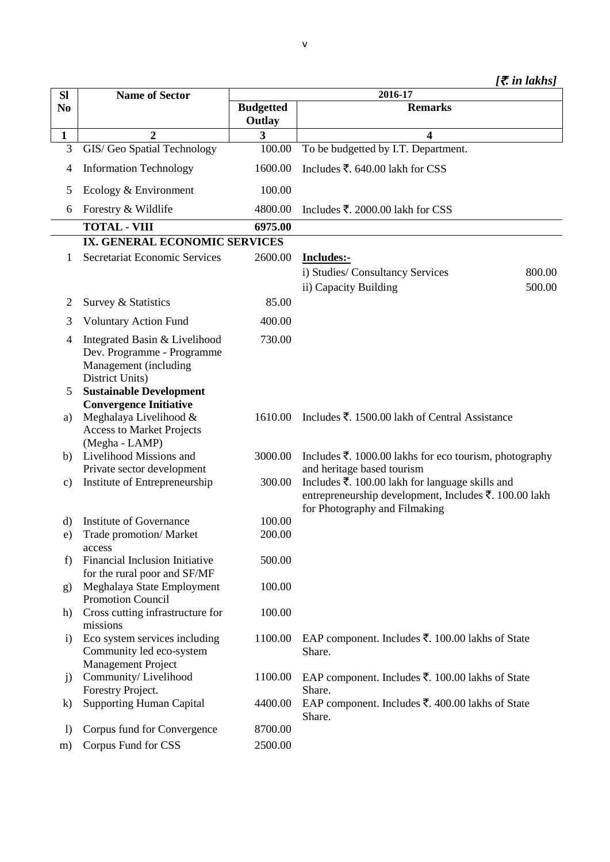| <b>SI</b>        | <b>Name of Sector</b>                                                                                   | 2016-17                    |                                                                                                                                           |
|------------------|---------------------------------------------------------------------------------------------------------|----------------------------|-------------------------------------------------------------------------------------------------------------------------------------------|
| N <sub>0</sub>   |                                                                                                         | <b>Budgetted</b><br>Outlay | <b>Remarks</b>                                                                                                                            |
| $\mathbf{1}$     | $\overline{2}$                                                                                          | 3                          | $\overline{\mathbf{4}}$                                                                                                                   |
| 3                | GIS/ Geo Spatial Technology                                                                             | 100.00                     | To be budgetted by I.T. Department.                                                                                                       |
| 4                | <b>Information Technology</b>                                                                           | 1600.00                    | Includes ₹. 640.00 lakh for CSS                                                                                                           |
| 5                | Ecology & Environment                                                                                   | 100.00                     |                                                                                                                                           |
| 6                | Forestry & Wildlife                                                                                     | 4800.00                    | Includes ₹. 2000.00 lakh for CSS                                                                                                          |
|                  | <b>TOTAL - VIII</b>                                                                                     | 6975.00                    |                                                                                                                                           |
|                  | IX. GENERAL ECONOMIC SERVICES                                                                           |                            |                                                                                                                                           |
| 1                | Secretariat Economic Services                                                                           | 2600.00                    | Includes:-                                                                                                                                |
|                  |                                                                                                         |                            | i) Studies/ Consultancy Services<br>800.00<br>ii) Capacity Building<br>500.00                                                             |
| $\overline{2}$   | Survey & Statistics                                                                                     | 85.00                      |                                                                                                                                           |
| 3                | <b>Voluntary Action Fund</b>                                                                            | 400.00                     |                                                                                                                                           |
| 4                | Integrated Basin & Livelihood<br>Dev. Programme - Programme<br>Management (including<br>District Units) | 730.00                     |                                                                                                                                           |
| 5                | <b>Sustainable Development</b><br><b>Convergence Initiative</b>                                         |                            |                                                                                                                                           |
| a)               | Meghalaya Livelihood &<br><b>Access to Market Projects</b><br>(Megha - LAMP)                            | 1610.00                    | Includes ₹. 1500.00 lakh of Central Assistance                                                                                            |
| b)               | Livelihood Missions and<br>Private sector development                                                   | 3000.00                    | Includes ₹. 1000.00 lakhs for eco tourism, photography<br>and heritage based tourism                                                      |
| $\mathbf{c})$    | Institute of Entrepreneurship                                                                           | 300.00                     | Includes ₹. 100.00 lakh for language skills and<br>entrepreneurship development, Includes ₹. 100.00 lakh<br>for Photography and Filmaking |
| d)               | Institute of Governance                                                                                 | 100.00                     |                                                                                                                                           |
| e)               | Trade promotion/ Market<br>access                                                                       | 200.00                     |                                                                                                                                           |
| f)               | Financial Inclusion Initiative<br>for the rural poor and SF/MF                                          | 500.00                     |                                                                                                                                           |
| g)               | Meghalaya State Employment<br><b>Promotion Council</b>                                                  | 100.00                     |                                                                                                                                           |
| h)               | Cross cutting infrastructure for<br>missions                                                            | 100.00                     |                                                                                                                                           |
| $\mathbf{i}$     | Eco system services including<br>Community led eco-system<br><b>Management Project</b>                  | 1100.00                    | EAP component. Includes ₹. 100.00 lakhs of State<br>Share.                                                                                |
| j)               | Community/Livelihood<br>Forestry Project.                                                               | 1100.00                    | EAP component. Includes ₹. 100.00 lakhs of State<br>Share.                                                                                |
| $\bf k)$         | <b>Supporting Human Capital</b>                                                                         | 4400.00                    | EAP component. Includes ₹. 400.00 lakhs of State<br>Share.                                                                                |
| $\left( \right)$ | Corpus fund for Convergence                                                                             | 8700.00                    |                                                                                                                                           |
| m)               | Corpus Fund for CSS                                                                                     | 2500.00                    |                                                                                                                                           |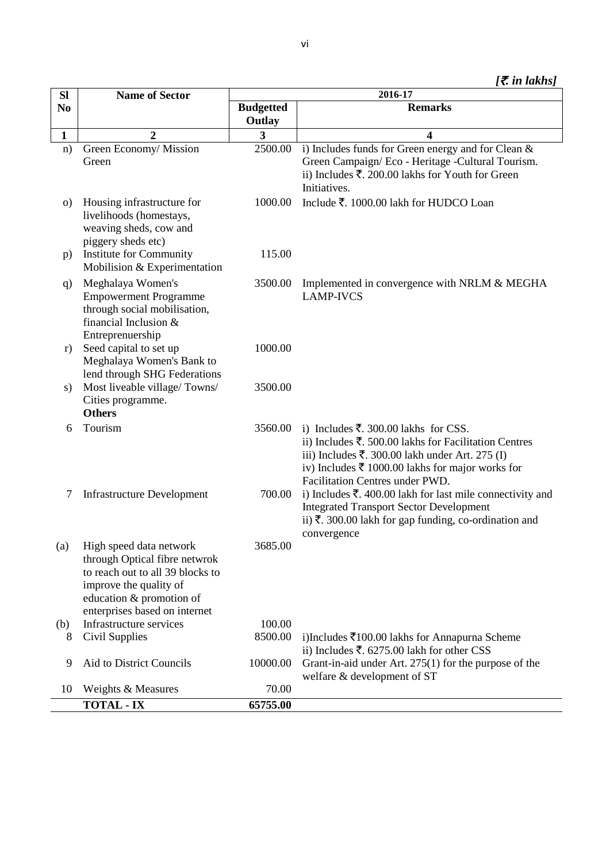|  |  | [₹ in lakhs] |  |
|--|--|--------------|--|
|--|--|--------------|--|

| SI             | <b>Name of Sector</b>                                                                                                                                                                   | 2016-17          |                                                                                                                                                                                                                                                    |  |
|----------------|-----------------------------------------------------------------------------------------------------------------------------------------------------------------------------------------|------------------|----------------------------------------------------------------------------------------------------------------------------------------------------------------------------------------------------------------------------------------------------|--|
| N <sub>0</sub> |                                                                                                                                                                                         | <b>Budgetted</b> | <b>Remarks</b>                                                                                                                                                                                                                                     |  |
|                |                                                                                                                                                                                         | Outlay           |                                                                                                                                                                                                                                                    |  |
| $\mathbf{1}$   | $\overline{2}$                                                                                                                                                                          | 3                | 4                                                                                                                                                                                                                                                  |  |
| n)             | Green Economy/ Mission<br>Green                                                                                                                                                         | 2500.00          | i) Includes funds for Green energy and for Clean &<br>Green Campaign/Eco - Heritage -Cultural Tourism.<br>ii) Includes $\overline{\xi}$ . 200.00 lakhs for Youth for Green<br>Initiatives.                                                         |  |
| $\circ$ )      | Housing infrastructure for<br>livelihoods (homestays,<br>weaving sheds, cow and<br>piggery sheds etc)                                                                                   | 1000.00          | Include ₹. 1000.00 lakh for HUDCO Loan                                                                                                                                                                                                             |  |
| p)             | Institute for Community<br>Mobilision & Experimentation                                                                                                                                 | 115.00           |                                                                                                                                                                                                                                                    |  |
| q)             | Meghalaya Women's<br><b>Empowerment Programme</b><br>through social mobilisation,<br>financial Inclusion &<br>Entreprenuership                                                          | 3500.00          | Implemented in convergence with NRLM & MEGHA<br><b>LAMP-IVCS</b>                                                                                                                                                                                   |  |
| r)             | Seed capital to set up<br>Meghalaya Women's Bank to<br>lend through SHG Federations                                                                                                     | 1000.00          |                                                                                                                                                                                                                                                    |  |
| s)             | Most liveable village/Towns/<br>Cities programme.<br><b>Others</b>                                                                                                                      | 3500.00          |                                                                                                                                                                                                                                                    |  |
| 6              | Tourism                                                                                                                                                                                 | 3560.00          | i) Includes ₹. 300.00 lakhs for CSS.<br>ii) Includes ₹. 500.00 lakhs for Facilitation Centres<br>iii) Includes ₹. 300.00 lakh under Art. 275 (I)<br>iv) Includes $\bar{\tau}$ 1000.00 lakhs for major works for<br>Facilitation Centres under PWD. |  |
| 7              | <b>Infrastructure Development</b>                                                                                                                                                       | 700.00           | i) Includes $\bar{\tau}$ . 400.00 lakh for last mile connectivity and<br><b>Integrated Transport Sector Development</b><br>ii) ₹. 300.00 lakh for gap funding, co-ordination and<br>convergence                                                    |  |
|                | (a) High speed data network<br>through Optical fibre netwrok<br>to reach out to all 39 blocks to<br>improve the quality of<br>education & promotion of<br>enterprises based on internet | 3685.00          |                                                                                                                                                                                                                                                    |  |
| (b)            | Infrastructure services                                                                                                                                                                 | 100.00           |                                                                                                                                                                                                                                                    |  |
| 8              | Civil Supplies                                                                                                                                                                          | 8500.00          | i)Includes $\bar{\xi}$ 100.00 lakhs for Annapurna Scheme<br>ii) Includes ₹. 6275.00 lakh for other CSS                                                                                                                                             |  |
| 9              | Aid to District Councils                                                                                                                                                                | 10000.00         | Grant-in-aid under Art. $275(1)$ for the purpose of the<br>welfare & development of ST                                                                                                                                                             |  |
| 10             | Weights & Measures                                                                                                                                                                      | 70.00            |                                                                                                                                                                                                                                                    |  |
|                | <b>TOTAL - IX</b>                                                                                                                                                                       | 65755.00         |                                                                                                                                                                                                                                                    |  |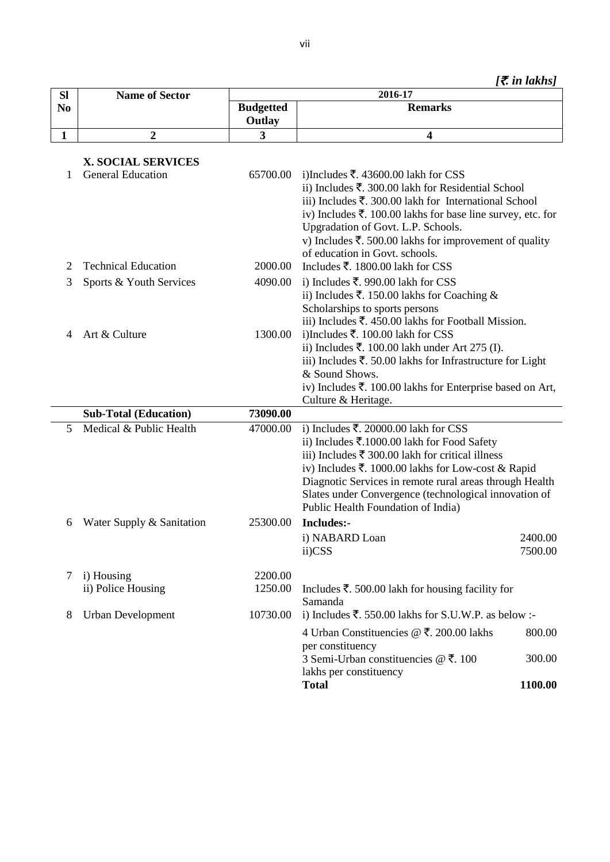*[*`*. in lakhs]*

| <b>SI</b>      | <b>Name of Sector</b>        |                            | 2016-17                                                                                                                                                                                                                                                                                                                                                            |
|----------------|------------------------------|----------------------------|--------------------------------------------------------------------------------------------------------------------------------------------------------------------------------------------------------------------------------------------------------------------------------------------------------------------------------------------------------------------|
| N <sub>0</sub> |                              | <b>Budgetted</b><br>Outlay | <b>Remarks</b>                                                                                                                                                                                                                                                                                                                                                     |
| 1              | 2                            | 3                          | $\overline{\mathbf{4}}$                                                                                                                                                                                                                                                                                                                                            |
|                | <b>X. SOCIAL SERVICES</b>    |                            |                                                                                                                                                                                                                                                                                                                                                                    |
| 1              | <b>General Education</b>     | 65700.00                   | i)Includes ₹. 43600.00 lakh for CSS<br>ii) Includes ₹. 300.00 lakh for Residential School<br>iii) Includes $\bar{\xi}$ . 300.00 lakh for International School<br>iv) Includes ₹. 100.00 lakhs for base line survey, etc. for<br>Upgradation of Govt. L.P. Schools.<br>v) Includes ₹. 500.00 lakhs for improvement of quality<br>of education in Govt. schools.     |
| 2              | <b>Technical Education</b>   | 2000.00                    | Includes ₹. 1800.00 lakh for CSS                                                                                                                                                                                                                                                                                                                                   |
| 3              | Sports & Youth Services      | 4090.00                    | i) Includes ₹. 990.00 lakh for CSS                                                                                                                                                                                                                                                                                                                                 |
|                |                              |                            | ii) Includes ₹. 150.00 lakhs for Coaching &<br>Scholarships to sports persons<br>iii) Includes $\overline{\xi}$ . 450.00 lakhs for Football Mission.                                                                                                                                                                                                               |
| 4              | Art & Culture                | 1300.00                    | i)Includes ₹. 100.00 lakh for CSS                                                                                                                                                                                                                                                                                                                                  |
|                |                              |                            | ii) Includes ₹. 100.00 lakh under Art 275 (I).                                                                                                                                                                                                                                                                                                                     |
|                |                              |                            | iii) Includes $\overline{\xi}$ . 50.00 lakhs for Infrastructure for Light                                                                                                                                                                                                                                                                                          |
|                |                              |                            | & Sound Shows.                                                                                                                                                                                                                                                                                                                                                     |
|                |                              |                            | iv) Includes ₹. 100.00 lakhs for Enterprise based on Art,                                                                                                                                                                                                                                                                                                          |
|                |                              |                            | Culture & Heritage.                                                                                                                                                                                                                                                                                                                                                |
|                | <b>Sub-Total (Education)</b> | 73090.00                   |                                                                                                                                                                                                                                                                                                                                                                    |
| 5              | Medical & Public Health      | 47000.00                   | i) Includes ₹. 20000.00 lakh for CSS<br>ii) Includes ₹.1000.00 lakh for Food Safety<br>iii) Includes $\bar{\tau}$ 300.00 lakh for critical illness<br>iv) Includes ₹. 1000.00 lakhs for Low-cost & Rapid<br>Diagnotic Services in remote rural areas through Health<br>Slates under Convergence (technological innovation of<br>Public Health Foundation of India) |
| 6              | Water Supply & Sanitation    | 25300.00                   | Includes:-                                                                                                                                                                                                                                                                                                                                                         |
|                |                              |                            | 2400.00<br>i) NABARD Loan<br>ii)CSS<br>7500.00                                                                                                                                                                                                                                                                                                                     |
| 7              | i) Housing                   | 2200.00                    |                                                                                                                                                                                                                                                                                                                                                                    |
|                | ii) Police Housing           | 1250.00                    | Includes ₹. 500.00 lakh for housing facility for                                                                                                                                                                                                                                                                                                                   |
| 8              | <b>Urban Development</b>     | 10730.00                   | Samanda<br>i) Includes ₹. 550.00 lakhs for S.U.W.P. as below :-                                                                                                                                                                                                                                                                                                    |
|                |                              |                            |                                                                                                                                                                                                                                                                                                                                                                    |
|                |                              |                            | 4 Urban Constituencies @ ₹. 200.00 lakhs<br>800.00                                                                                                                                                                                                                                                                                                                 |
|                |                              |                            | per constituency<br>3 Semi-Urban constituencies @ ₹, 100<br>300.00                                                                                                                                                                                                                                                                                                 |
|                |                              |                            | lakhs per constituency                                                                                                                                                                                                                                                                                                                                             |
|                |                              |                            | <b>Total</b><br>1100.00                                                                                                                                                                                                                                                                                                                                            |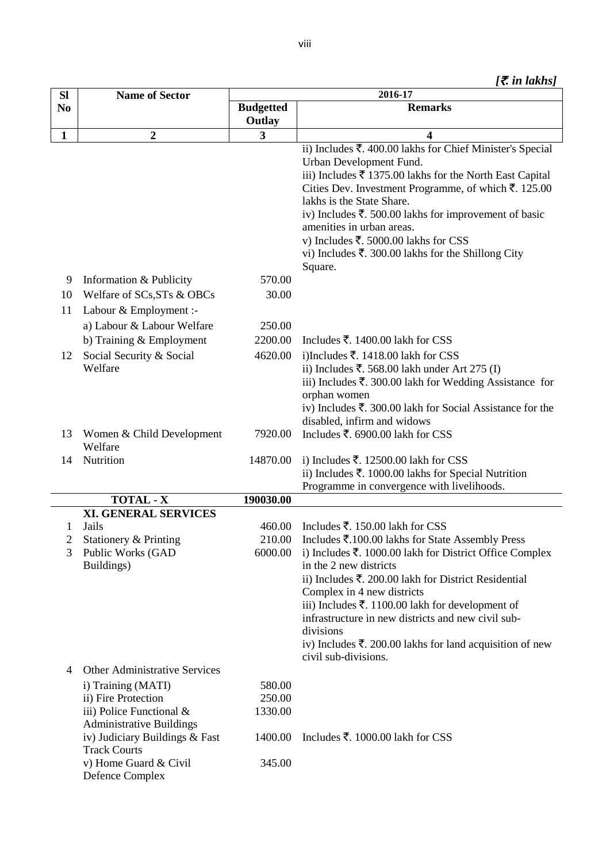|  |  |  | $\bar{\tau}$ in lakhs] |
|--|--|--|------------------------|
|--|--|--|------------------------|

| <b>SI</b>      | <b>Name of Sector</b>                                 |                            | 2016-17                                                                                                                                                                                                                                                                                                                                                                                                                                                                 |
|----------------|-------------------------------------------------------|----------------------------|-------------------------------------------------------------------------------------------------------------------------------------------------------------------------------------------------------------------------------------------------------------------------------------------------------------------------------------------------------------------------------------------------------------------------------------------------------------------------|
| N <sub>0</sub> |                                                       | <b>Budgetted</b><br>Outlay | <b>Remarks</b>                                                                                                                                                                                                                                                                                                                                                                                                                                                          |
| $\mathbf{1}$   | $\boldsymbol{2}$                                      | 3                          | 4                                                                                                                                                                                                                                                                                                                                                                                                                                                                       |
|                |                                                       |                            | ii) Includes ₹. 400.00 lakhs for Chief Minister's Special<br>Urban Development Fund.<br>iii) Includes $\bar{\xi}$ 1375.00 lakhs for the North East Capital<br>Cities Dev. Investment Programme, of which ₹. 125.00<br>lakhs is the State Share.<br>iv) Includes ₹. 500.00 lakhs for improvement of basic<br>amenities in urban areas.<br>v) Includes ₹. 5000.00 lakhs for CSS<br>vi) Includes $\overline{\mathfrak{F}}$ . 300.00 lakhs for the Shillong City<br>Square. |
| 9              | Information & Publicity                               | 570.00                     |                                                                                                                                                                                                                                                                                                                                                                                                                                                                         |
| 10             | Welfare of SCs, STs & OBCs                            | 30.00                      |                                                                                                                                                                                                                                                                                                                                                                                                                                                                         |
| 11             | Labour & Employment :-                                |                            |                                                                                                                                                                                                                                                                                                                                                                                                                                                                         |
|                | a) Labour & Labour Welfare                            | 250.00                     |                                                                                                                                                                                                                                                                                                                                                                                                                                                                         |
|                | b) Training & Employment                              | 2200.00                    | Includes ₹. 1400.00 lakh for CSS                                                                                                                                                                                                                                                                                                                                                                                                                                        |
| 12             | Social Security & Social                              | 4620.00                    | i)Includes ₹. 1418.00 lakh for CSS                                                                                                                                                                                                                                                                                                                                                                                                                                      |
|                | Welfare                                               |                            | ii) Includes ₹. 568.00 lakh under Art 275 (I)                                                                                                                                                                                                                                                                                                                                                                                                                           |
|                |                                                       |                            | iii) Includes $\overline{\xi}$ . 300.00 lakh for Wedding Assistance for                                                                                                                                                                                                                                                                                                                                                                                                 |
|                |                                                       |                            | orphan women                                                                                                                                                                                                                                                                                                                                                                                                                                                            |
|                |                                                       |                            | iv) Includes ₹. 300.00 lakh for Social Assistance for the                                                                                                                                                                                                                                                                                                                                                                                                               |
|                |                                                       |                            | disabled, infirm and widows                                                                                                                                                                                                                                                                                                                                                                                                                                             |
| 13             | Women & Child Development<br>Welfare                  | 7920.00                    | Includes ₹. 6900.00 lakh for CSS                                                                                                                                                                                                                                                                                                                                                                                                                                        |
| 14             | Nutrition                                             | 14870.00                   | i) Includes ₹. 12500.00 lakh for CSS                                                                                                                                                                                                                                                                                                                                                                                                                                    |
|                |                                                       |                            | ii) Includes ₹. 1000.00 lakhs for Special Nutrition                                                                                                                                                                                                                                                                                                                                                                                                                     |
|                |                                                       |                            | Programme in convergence with livelihoods.                                                                                                                                                                                                                                                                                                                                                                                                                              |
|                | <b>TOTAL - X</b>                                      | 190030.00                  |                                                                                                                                                                                                                                                                                                                                                                                                                                                                         |
|                | XI. GENERAL SERVICES                                  |                            |                                                                                                                                                                                                                                                                                                                                                                                                                                                                         |
| 1<br>2         | Jails<br>Stationery & Printing                        | 460.00<br>210.00           | Includes ₹. 150.00 lakh for CSS                                                                                                                                                                                                                                                                                                                                                                                                                                         |
| 3              | Public Works (GAD                                     | 6000.00                    | Includes ₹.100.00 lakhs for State Assembly Press<br>i) Includes ₹. 1000.00 lakh for District Office Complex                                                                                                                                                                                                                                                                                                                                                             |
|                | Buildings)                                            |                            | in the 2 new districts                                                                                                                                                                                                                                                                                                                                                                                                                                                  |
|                |                                                       |                            | ii) Includes $\bar{\mathbf{\tau}}$ . 200.00 lakh for District Residential                                                                                                                                                                                                                                                                                                                                                                                               |
|                |                                                       |                            | Complex in 4 new districts                                                                                                                                                                                                                                                                                                                                                                                                                                              |
|                |                                                       |                            | iii) Includes ₹. 1100.00 lakh for development of                                                                                                                                                                                                                                                                                                                                                                                                                        |
|                |                                                       |                            | infrastructure in new districts and new civil sub-                                                                                                                                                                                                                                                                                                                                                                                                                      |
|                |                                                       |                            | divisions                                                                                                                                                                                                                                                                                                                                                                                                                                                               |
|                |                                                       |                            | iv) Includes ₹. 200.00 lakhs for land acquisition of new                                                                                                                                                                                                                                                                                                                                                                                                                |
| 4              | Other Administrative Services                         |                            | civil sub-divisions.                                                                                                                                                                                                                                                                                                                                                                                                                                                    |
|                | i) Training (MATI)                                    | 580.00                     |                                                                                                                                                                                                                                                                                                                                                                                                                                                                         |
|                | ii) Fire Protection                                   | 250.00                     |                                                                                                                                                                                                                                                                                                                                                                                                                                                                         |
|                | iii) Police Functional &                              | 1330.00                    |                                                                                                                                                                                                                                                                                                                                                                                                                                                                         |
|                | <b>Administrative Buildings</b>                       |                            |                                                                                                                                                                                                                                                                                                                                                                                                                                                                         |
|                | iv) Judiciary Buildings & Fast<br><b>Track Courts</b> | 1400.00                    | Includes ₹. 1000.00 lakh for CSS                                                                                                                                                                                                                                                                                                                                                                                                                                        |
|                | v) Home Guard & Civil                                 | 345.00                     |                                                                                                                                                                                                                                                                                                                                                                                                                                                                         |
|                | Defence Complex                                       |                            |                                                                                                                                                                                                                                                                                                                                                                                                                                                                         |